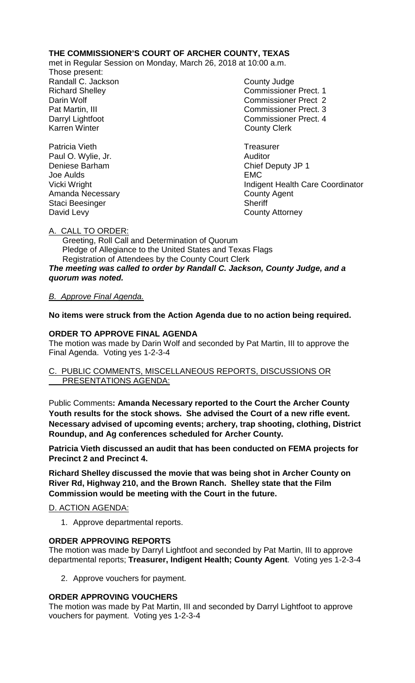## **THE COMMISSIONER'S COURT OF ARCHER COUNTY, TEXAS**

met in Regular Session on Monday, March 26, 2018 at 10:00 a.m.

Those present: Randall C. Jackson County Judge

Richard Shelley **Commissioner Prect. 1** Darin Wolf Commissioner Prect 2 Pat Martin, III Commissioner Prect. 3 Darryl Lightfoot **Commissioner Prect. 4**<br>
Karren Winter **County County Clerk County Clerk** 

Patricia Vieth **Treasurer** Treasurer Paul O. Wylie, Jr. **Auditor Paul O. Wylie, Jr. Auditor** Deniese Barham Chief Deputy JP 1 Vicki Wright Indigent Health Care Coordinator

Joe Aulds EMC Amanda Necessary **County Agent** Staci Beesinger Sheriff David Levy **County Attorney** 

A. CALL TO ORDER:

 Greeting, Roll Call and Determination of Quorum Pledge of Allegiance to the United States and Texas Flags Registration of Attendees by the County Court Clerk *The meeting was called to order by Randall C. Jackson, County Judge, and a quorum was noted.*

## *B. Approve Final Agenda.*

# **No items were struck from the Action Agenda due to no action being required.**

# **ORDER TO APPROVE FINAL AGENDA**

The motion was made by Darin Wolf and seconded by Pat Martin, III to approve the Final Agenda. Voting yes 1-2-3-4

### C. PUBLIC COMMENTS, MISCELLANEOUS REPORTS, DISCUSSIONS OR PRESENTATIONS AGENDA:

Public Comments**: Amanda Necessary reported to the Court the Archer County Youth results for the stock shows. She advised the Court of a new rifle event. Necessary advised of upcoming events; archery, trap shooting, clothing, District Roundup, and Ag conferences scheduled for Archer County.**

**Patricia Vieth discussed an audit that has been conducted on FEMA projects for Precinct 2 and Precinct 4.**

**Richard Shelley discussed the movie that was being shot in Archer County on River Rd, Highway 210, and the Brown Ranch. Shelley state that the Film Commission would be meeting with the Court in the future.**

## D. ACTION AGENDA:

1. Approve departmental reports.

## **ORDER APPROVING REPORTS**

The motion was made by Darryl Lightfoot and seconded by Pat Martin, III to approve departmental reports; **Treasurer, Indigent Health; County Agent**. Voting yes 1-2-3-4

2. Approve vouchers for payment.

## **ORDER APPROVING VOUCHERS**

The motion was made by Pat Martin, III and seconded by Darryl Lightfoot to approve vouchers for payment. Voting yes 1-2-3-4